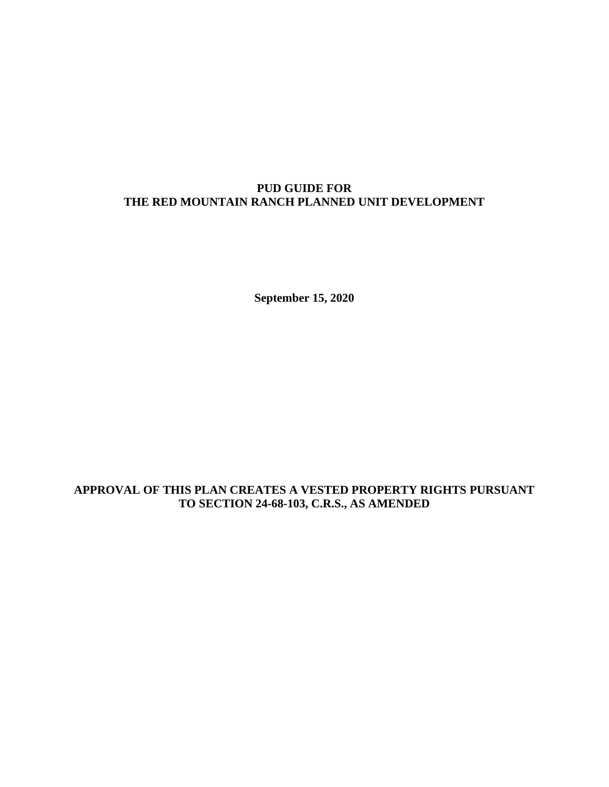## **PUD GUIDE FOR THE RED MOUNTAIN RANCH PLANNED UNIT DEVELOPMENT**

**September 15, 2020**

### **APPROVAL OF THIS PLAN CREATES A VESTED PROPERTY RIGHTS PURSUANT TO SECTION 24-68-103, C.R.S., AS AMENDED**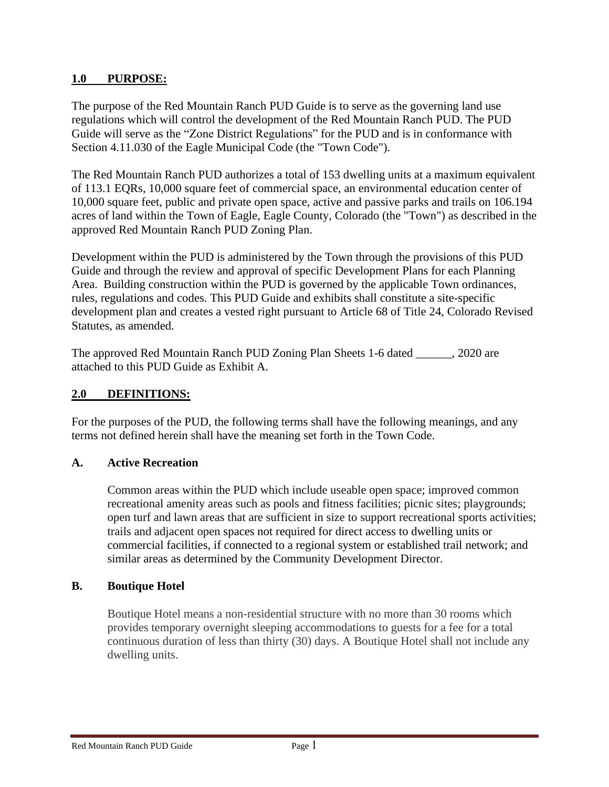### **1.0 PURPOSE:**

The purpose of the Red Mountain Ranch PUD Guide is to serve as the governing land use regulations which will control the development of the Red Mountain Ranch PUD. The PUD Guide will serve as the "Zone District Regulations" for the PUD and is in conformance with Section 4.11.030 of the Eagle Municipal Code (the "Town Code").

The Red Mountain Ranch PUD authorizes a total of 153 dwelling units at a maximum equivalent of 113.1 EQRs, 10,000 square feet of commercial space, an environmental education center of 10,000 square feet, public and private open space, active and passive parks and trails on 106.194 acres of land within the Town of Eagle, Eagle County, Colorado (the "Town") as described in the approved Red Mountain Ranch PUD Zoning Plan.

Development within the PUD is administered by the Town through the provisions of this PUD Guide and through the review and approval of specific Development Plans for each Planning Area. Building construction within the PUD is governed by the applicable Town ordinances, rules, regulations and codes. This PUD Guide and exhibits shall constitute a site-specific development plan and creates a vested right pursuant to Article 68 of Title 24, Colorado Revised Statutes, as amended.

The approved Red Mountain Ranch PUD Zoning Plan Sheets 1-6 dated \_\_\_\_\_\_, 2020 are attached to this PUD Guide as Exhibit A.

### **2.0 DEFINITIONS:**

For the purposes of the PUD, the following terms shall have the following meanings, and any terms not defined herein shall have the meaning set forth in the Town Code.

### **A. Active Recreation**

Common areas within the PUD which include useable open space; improved common recreational amenity areas such as pools and fitness facilities; picnic sites; playgrounds; open turf and lawn areas that are sufficient in size to support recreational sports activities; trails and adjacent open spaces not required for direct access to dwelling units or commercial facilities, if connected to a regional system or established trail network; and similar areas as determined by the Community Development Director.

### **B. Boutique Hotel**

Boutique Hotel means a non-residential structure with no more than 30 rooms which provides temporary overnight sleeping accommodations to guests for a fee for a total continuous duration of less than thirty (30) days. A Boutique Hotel shall not include any dwelling units.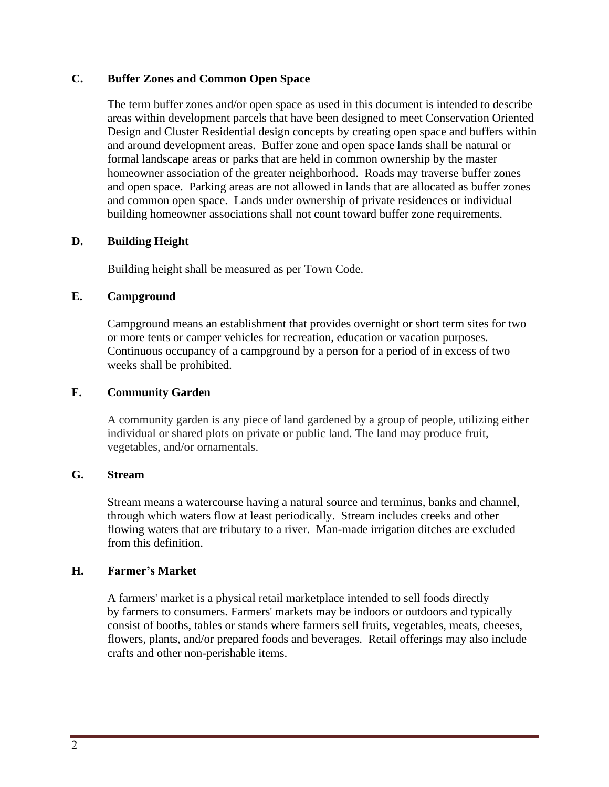## **C. Buffer Zones and Common Open Space**

The term buffer zones and/or open space as used in this document is intended to describe areas within development parcels that have been designed to meet Conservation Oriented Design and Cluster Residential design concepts by creating open space and buffers within and around development areas. Buffer zone and open space lands shall be natural or formal landscape areas or parks that are held in common ownership by the master homeowner association of the greater neighborhood. Roads may traverse buffer zones and open space. Parking areas are not allowed in lands that are allocated as buffer zones and common open space. Lands under ownership of private residences or individual building homeowner associations shall not count toward buffer zone requirements.

### **D. Building Height**

Building height shall be measured as per Town Code.

### **E. Campground**

Campground means an establishment that provides overnight or short term sites for two or more tents or camper vehicles for recreation, education or vacation purposes. Continuous occupancy of a campground by a person for a period of in excess of two weeks shall be prohibited.

### **F. Community Garden**

A community garden is any piece of land gardened by a group of people, utilizing either individual or shared plots on private or public land. The land may produce fruit, vegetables, and/or ornamentals.

### **G. Stream**

Stream means a watercourse having a natural source and terminus, banks and channel, through which waters flow at least periodically. Stream includes creeks and other flowing waters that are tributary to a river. Man-made irrigation ditches are excluded from this definition.

## **H. Farmer's Market**

A farmers' market is a physical retail [marketplace](https://en.wikipedia.org/wiki/Marketplace) intended to sell foods directly by [farmers](https://en.wikipedia.org/wiki/Farmer) to consumers. Farmers' markets may be indoors or outdoors and typically consist of booths, tables or stands where farmers sell fruits, vegetables, meats, cheeses, flowers, plants, and/or prepared foods and beverages. Retail offerings may also include crafts and other non-perishable items.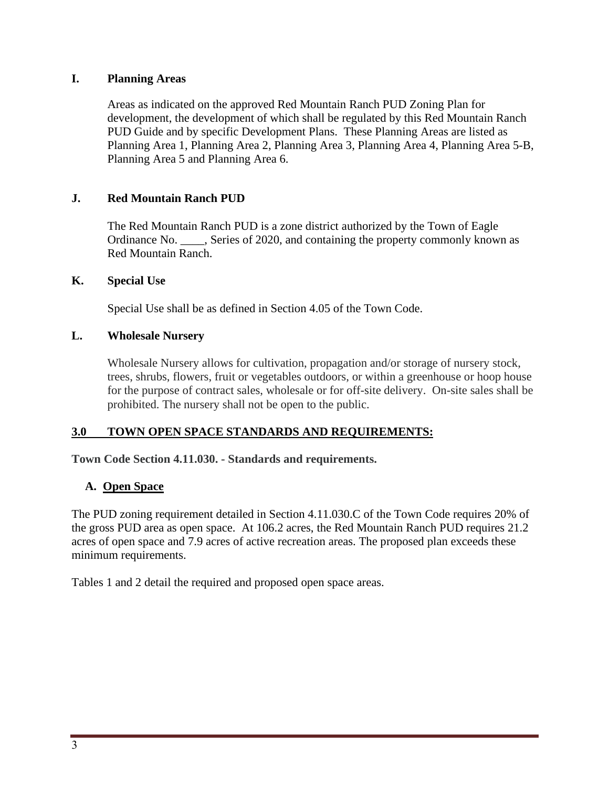## **I. Planning Areas**

Areas as indicated on the approved Red Mountain Ranch PUD Zoning Plan for development, the development of which shall be regulated by this Red Mountain Ranch PUD Guide and by specific Development Plans. These Planning Areas are listed as Planning Area 1, Planning Area 2, Planning Area 3, Planning Area 4, Planning Area 5-B, Planning Area 5 and Planning Area 6.

## **J. Red Mountain Ranch PUD**

The Red Mountain Ranch PUD is a zone district authorized by the Town of Eagle Ordinance No. \_\_\_\_, Series of 2020, and containing the property commonly known as Red Mountain Ranch.

### **K. Special Use**

Special Use shall be as defined in Section 4.05 of the Town Code.

### **L. Wholesale Nursery**

Wholesale Nursery allows for cultivation, propagation and/or storage of nursery stock, trees, shrubs, flowers, fruit or vegetables outdoors, or within a greenhouse or hoop house for the purpose of contract sales, wholesale or for off-site delivery. On-site sales shall be prohibited. The nursery shall not be open to the public.

### **3.0 TOWN OPEN SPACE STANDARDS AND REQUIREMENTS:**

**Town Code Section 4.11.030. - Standards and requirements.**

### **A. Open Space**

The PUD zoning requirement detailed in Section 4.11.030.C of the Town Code requires 20% of the gross PUD area as open space. At 106.2 acres, the Red Mountain Ranch PUD requires 21.2 acres of open space and 7.9 acres of active recreation areas. The proposed plan exceeds these minimum requirements.

Tables 1 and 2 detail the required and proposed open space areas.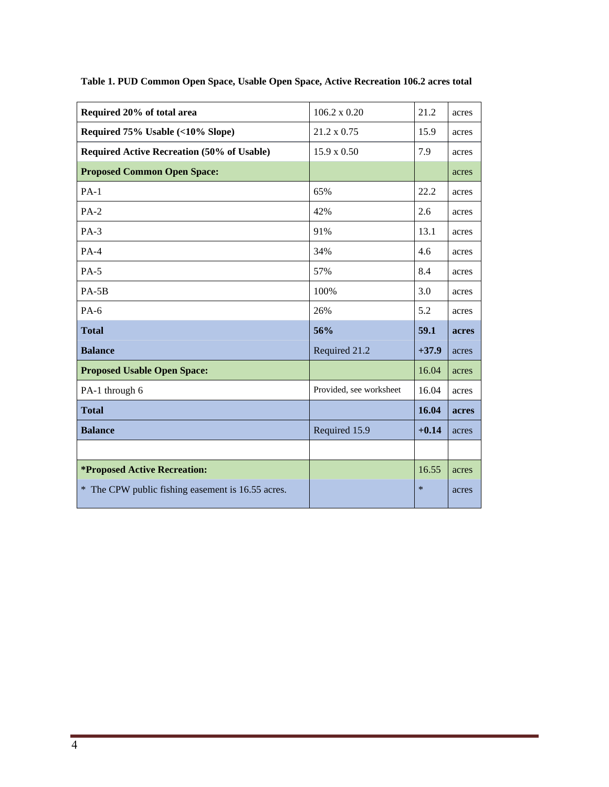| Required 20% of total area                        | $106.2 \times 0.20$     | 21.2    | acres |
|---------------------------------------------------|-------------------------|---------|-------|
| Required 75% Usable (<10% Slope)                  | 21.2 x 0.75             | 15.9    | acres |
| <b>Required Active Recreation (50% of Usable)</b> | $15.9 \times 0.50$      | 7.9     | acres |
| <b>Proposed Common Open Space:</b>                |                         |         | acres |
| $PA-1$                                            | 65%                     | 22.2    | acres |
| $PA-2$                                            | 42%                     | 2.6     | acres |
| $PA-3$                                            | 91%                     | 13.1    | acres |
| $PA-4$                                            | 34%                     | 4.6     | acres |
| $PA-5$                                            | 57%                     | 8.4     | acres |
| $PA-5B$                                           | 100%                    | 3.0     | acres |
| $PA-6$                                            | 26%                     | 5.2     | acres |
| <b>Total</b>                                      | 56%                     | 59.1    | acres |
| <b>Balance</b>                                    | Required 21.2           | $+37.9$ | acres |
| <b>Proposed Usable Open Space:</b>                |                         | 16.04   | acres |
| PA-1 through 6                                    | Provided, see worksheet | 16.04   | acres |
| <b>Total</b>                                      |                         | 16.04   | acres |
| <b>Balance</b>                                    | Required 15.9           | $+0.14$ | acres |
|                                                   |                         |         |       |
| <i><b>*Proposed Active Recreation:</b></i>        |                         | 16.55   | acres |
| * The CPW public fishing easement is 16.55 acres. |                         | $\ast$  | acres |

**Table 1. PUD Common Open Space, Usable Open Space, Active Recreation 106.2 acres total**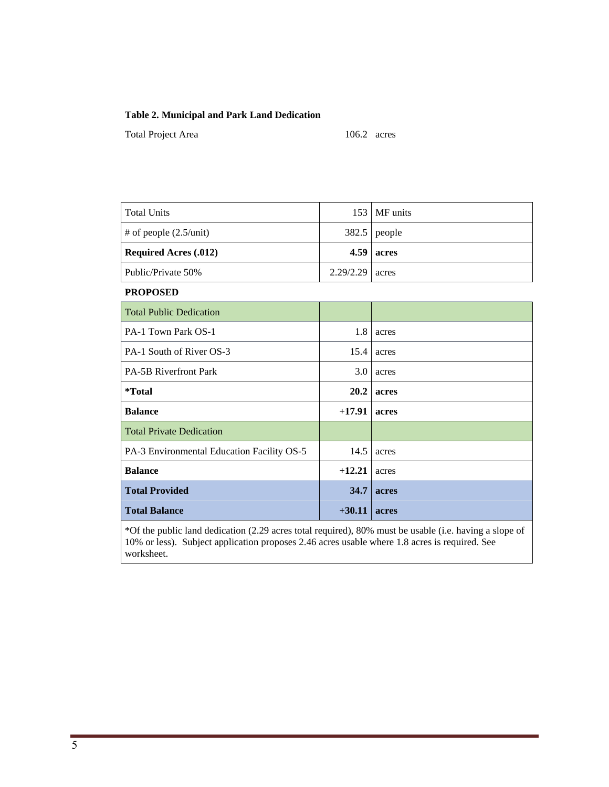#### **Table 2. Municipal and Park Land Dedication**

Total Project Area 106.2 acres

| <b>Total Units</b>                 |                   | $153$   MF units |
|------------------------------------|-------------------|------------------|
| $\#$ of people $(2.5/\text{unit})$ |                   | $382.5$ people   |
| <b>Required Acres (.012)</b>       |                   | $4.59$ acres     |
| Public/Private 50%                 | $2.29/2.29$ acres |                  |

**PROPOSED**

| <b>Total Public Dedication</b>             |             |       |
|--------------------------------------------|-------------|-------|
| PA-1 Town Park OS-1                        | 1.8         | acres |
| PA-1 South of River OS-3                   | 15.4        | acres |
| <b>PA-5B Riverfront Park</b>               | 3.0         | acres |
| *Total                                     | <b>20.2</b> | acres |
| <b>Balance</b>                             | $+17.91$    | acres |
| <b>Total Private Dedication</b>            |             |       |
| PA-3 Environmental Education Facility OS-5 | 14.5        | acres |
| <b>Balance</b>                             | $+12.21$    | acres |
| <b>Total Provided</b>                      | 34.7        | acres |
| <b>Total Balance</b>                       | $+30.11$    | acres |

\*Of the public land dedication (2.29 acres total required), 80% must be usable (i.e. having a slope of 10% or less). Subject application proposes 2.46 acres usable where 1.8 acres is required. See worksheet.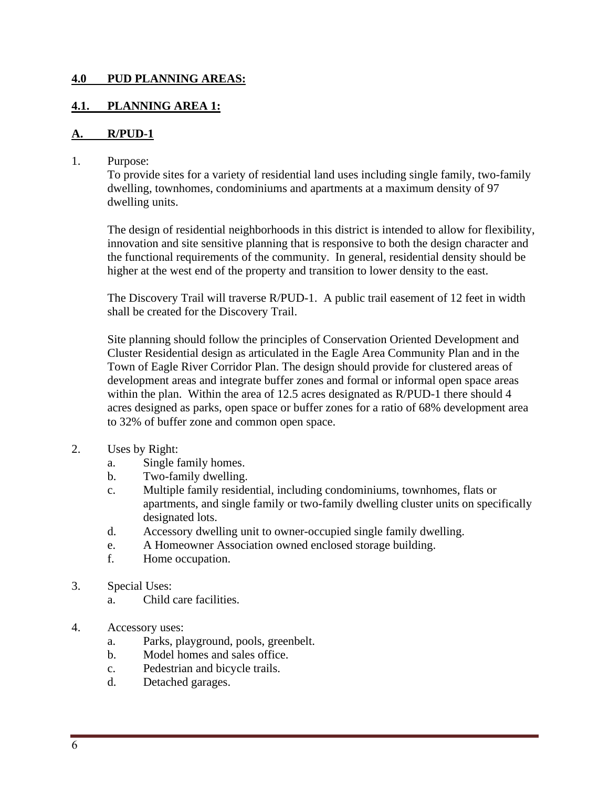### **4.0 PUD PLANNING AREAS:**

## **4.1. PLANNING AREA 1:**

### **A. R/PUD-1**

1. Purpose:

To provide sites for a variety of residential land uses including single family, two-family dwelling, townhomes, condominiums and apartments at a maximum density of 97 dwelling units.

The design of residential neighborhoods in this district is intended to allow for flexibility, innovation and site sensitive planning that is responsive to both the design character and the functional requirements of the community. In general, residential density should be higher at the west end of the property and transition to lower density to the east.

The Discovery Trail will traverse R/PUD-1. A public trail easement of 12 feet in width shall be created for the Discovery Trail.

Site planning should follow the principles of Conservation Oriented Development and Cluster Residential design as articulated in the Eagle Area Community Plan and in the Town of Eagle River Corridor Plan. The design should provide for clustered areas of development areas and integrate buffer zones and formal or informal open space areas within the plan. Within the area of 12.5 acres designated as R/PUD-1 there should 4 acres designed as parks, open space or buffer zones for a ratio of 68% development area to 32% of buffer zone and common open space.

- 2. Uses by Right:
	- a. Single family homes.
	- b. Two-family dwelling.
	- c. Multiple family residential, including condominiums, townhomes, flats or apartments, and single family or two-family dwelling cluster units on specifically designated lots.
	- d. Accessory dwelling unit to owner-occupied single family dwelling.
	- e. A Homeowner Association owned enclosed storage building.
	- f. Home occupation.
- 3. Special Uses:
	- a. Child care facilities.
- 4. Accessory uses:
	- a. Parks, playground, pools, greenbelt.
	- b. Model homes and sales office.
	- c. Pedestrian and bicycle trails.
	- d. Detached garages.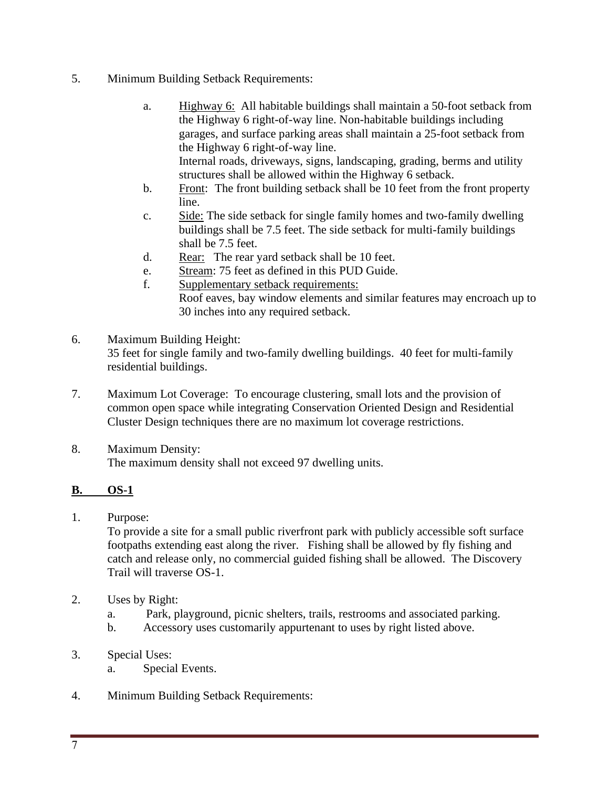- 5. Minimum Building Setback Requirements:
	- a. Highway 6: All habitable buildings shall maintain a 50-foot setback from the Highway 6 right-of-way line. Non-habitable buildings including garages, and surface parking areas shall maintain a 25-foot setback from the Highway 6 right-of-way line. Internal roads, driveways, signs, landscaping, grading, berms and utility structures shall be allowed within the Highway 6 setback.
	- b. Front: The front building setback shall be 10 feet from the front property line.
	- c. Side: The side setback for single family homes and two-family dwelling buildings shall be 7.5 feet. The side setback for multi-family buildings shall be 7.5 feet.
	- d. Rear: The rear yard setback shall be 10 feet.
	- e. Stream: 75 feet as defined in this PUD Guide.
	- f. Supplementary setback requirements: Roof eaves, bay window elements and similar features may encroach up to 30 inches into any required setback.
- 6. Maximum Building Height: 35 feet for single family and two-family dwelling buildings. 40 feet for multi-family residential buildings.
- 7. Maximum Lot Coverage: To encourage clustering, small lots and the provision of common open space while integrating Conservation Oriented Design and Residential Cluster Design techniques there are no maximum lot coverage restrictions.
- 8. Maximum Density: The maximum density shall not exceed 97 dwelling units.

## **B. OS-1**

1. Purpose:

To provide a site for a small public riverfront park with publicly accessible soft surface footpaths extending east along the river. Fishing shall be allowed by fly fishing and catch and release only, no commercial guided fishing shall be allowed. The Discovery Trail will traverse OS-1.

- 2. Uses by Right:
	- a. Park, playground, picnic shelters, trails, restrooms and associated parking.
	- b. Accessory uses customarily appurtenant to uses by right listed above.
- 3. Special Uses:
	- a. Special Events.
- 4. Minimum Building Setback Requirements: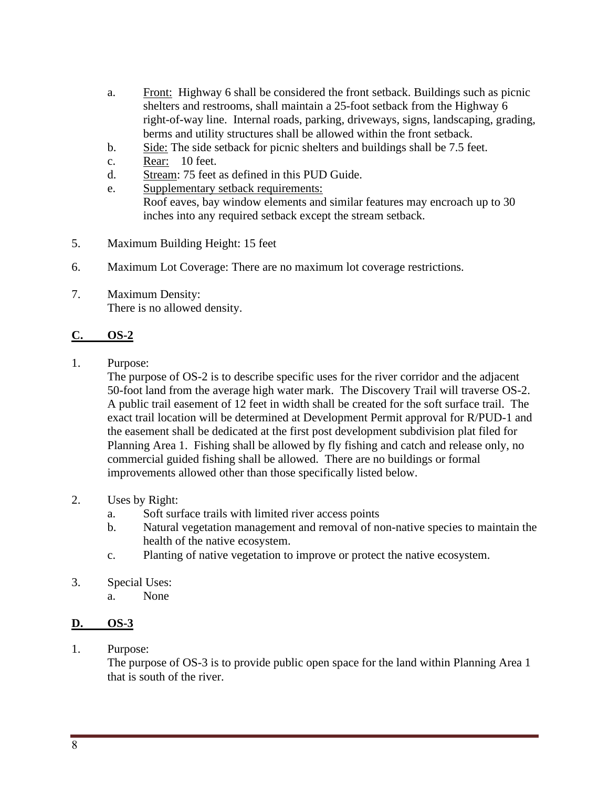- a. Front: Highway 6 shall be considered the front setback. Buildings such as picnic shelters and restrooms, shall maintain a 25-foot setback from the Highway 6 right-of-way line. Internal roads, parking, driveways, signs, landscaping, grading, berms and utility structures shall be allowed within the front setback.
- b. Side: The side setback for picnic shelters and buildings shall be 7.5 feet.
- c. Rear: 10 feet.
- d. Stream: 75 feet as defined in this PUD Guide.
- e. Supplementary setback requirements: Roof eaves, bay window elements and similar features may encroach up to 30 inches into any required setback except the stream setback.
- 5. Maximum Building Height: 15 feet
- 6. Maximum Lot Coverage: There are no maximum lot coverage restrictions.
- 7. Maximum Density: There is no allowed density.

## **C. OS-2**

1. Purpose:

The purpose of OS-2 is to describe specific uses for the river corridor and the adjacent 50-foot land from the average high water mark. The Discovery Trail will traverse OS-2. A public trail easement of 12 feet in width shall be created for the soft surface trail. The exact trail location will be determined at Development Permit approval for R/PUD-1 and the easement shall be dedicated at the first post development subdivision plat filed for Planning Area 1. Fishing shall be allowed by fly fishing and catch and release only, no commercial guided fishing shall be allowed. There are no buildings or formal improvements allowed other than those specifically listed below.

- 2. Uses by Right:
	- a. Soft surface trails with limited river access points
	- b. Natural vegetation management and removal of non-native species to maintain the health of the native ecosystem.
	- c. Planting of native vegetation to improve or protect the native ecosystem.
- 3. Special Uses:
	- a. None

## **D. OS-3**

1. Purpose:

The purpose of OS-3 is to provide public open space for the land within Planning Area 1 that is south of the river.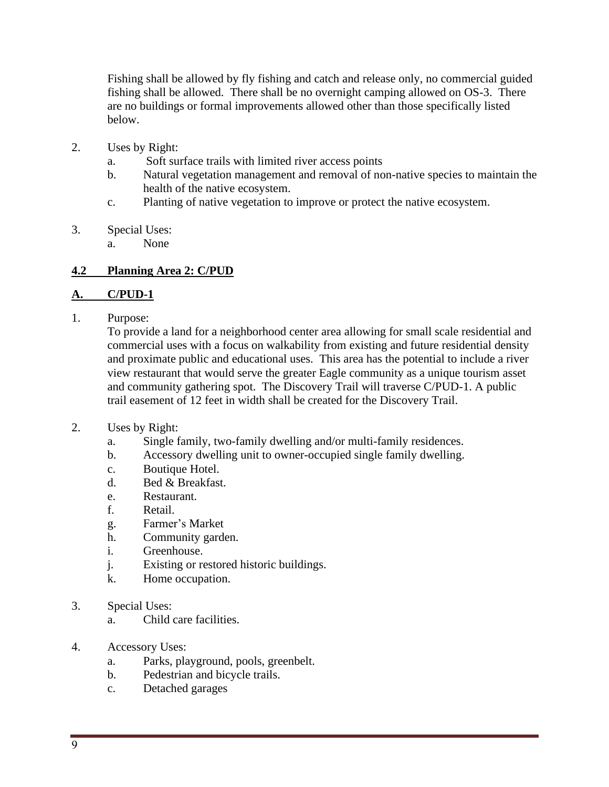Fishing shall be allowed by fly fishing and catch and release only, no commercial guided fishing shall be allowed. There shall be no overnight camping allowed on OS-3. There are no buildings or formal improvements allowed other than those specifically listed below.

- 2. Uses by Right:
	- a. Soft surface trails with limited river access points
	- b. Natural vegetation management and removal of non-native species to maintain the health of the native ecosystem.
	- c. Planting of native vegetation to improve or protect the native ecosystem.
- 3. Special Uses:
	- a. None

## **4.2 Planning Area 2: C/PUD**

## **A. C/PUD-1**

1. Purpose:

To provide a land for a neighborhood center area allowing for small scale residential and commercial uses with a focus on walkability from existing and future residential density and proximate public and educational uses. This area has the potential to include a river view restaurant that would serve the greater Eagle community as a unique tourism asset and community gathering spot. The Discovery Trail will traverse C/PUD-1. A public trail easement of 12 feet in width shall be created for the Discovery Trail.

### 2. Uses by Right:

- a. Single family, two-family dwelling and/or multi-family residences.
- b. Accessory dwelling unit to owner-occupied single family dwelling.
- c. Boutique Hotel.
- d. Bed & Breakfast.
- e. Restaurant.
- f. Retail.
- g. Farmer's Market
- h. Community garden.
- i. Greenhouse.
- j. Existing or restored historic buildings.
- k. Home occupation.
- 3. Special Uses:
	- a. Child care facilities.
- 4. Accessory Uses:
	- a. Parks, playground, pools, greenbelt.
	- b. Pedestrian and bicycle trails.
	- c. Detached garages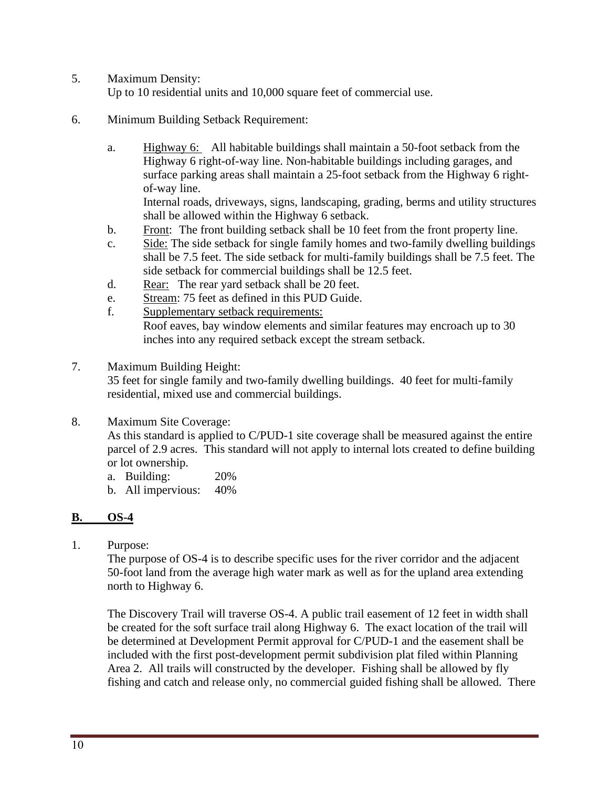- 5. Maximum Density: Up to 10 residential units and 10,000 square feet of commercial use.
- 6. Minimum Building Setback Requirement:
	- a. Highway 6: All habitable buildings shall maintain a 50-foot setback from the Highway 6 right-of-way line. Non-habitable buildings including garages, and surface parking areas shall maintain a 25-foot setback from the Highway 6 rightof-way line.

Internal roads, driveways, signs, landscaping, grading, berms and utility structures shall be allowed within the Highway 6 setback.

- b. Front: The front building setback shall be 10 feet from the front property line.
- c. Side: The side setback for single family homes and two-family dwelling buildings shall be 7.5 feet. The side setback for multi-family buildings shall be 7.5 feet. The side setback for commercial buildings shall be 12.5 feet.
- d. Rear: The rear yard setback shall be 20 feet.
- e. Stream: 75 feet as defined in this PUD Guide.
- f. Supplementary setback requirements: Roof eaves, bay window elements and similar features may encroach up to 30 inches into any required setback except the stream setback.
- 7. Maximum Building Height: 35 feet for single family and two-family dwelling buildings. 40 feet for multi-family residential, mixed use and commercial buildings.
- 8. Maximum Site Coverage:

As this standard is applied to C/PUD-1 site coverage shall be measured against the entire parcel of 2.9 acres. This standard will not apply to internal lots created to define building or lot ownership.

- a. Building: 20%
- b. All impervious: 40%

## **B. OS-4**

1. Purpose:

The purpose of OS-4 is to describe specific uses for the river corridor and the adjacent 50-foot land from the average high water mark as well as for the upland area extending north to Highway 6.

The Discovery Trail will traverse OS-4. A public trail easement of 12 feet in width shall be created for the soft surface trail along Highway 6. The exact location of the trail will be determined at Development Permit approval for C/PUD-1 and the easement shall be included with the first post-development permit subdivision plat filed within Planning Area 2. All trails will constructed by the developer. Fishing shall be allowed by fly fishing and catch and release only, no commercial guided fishing shall be allowed. There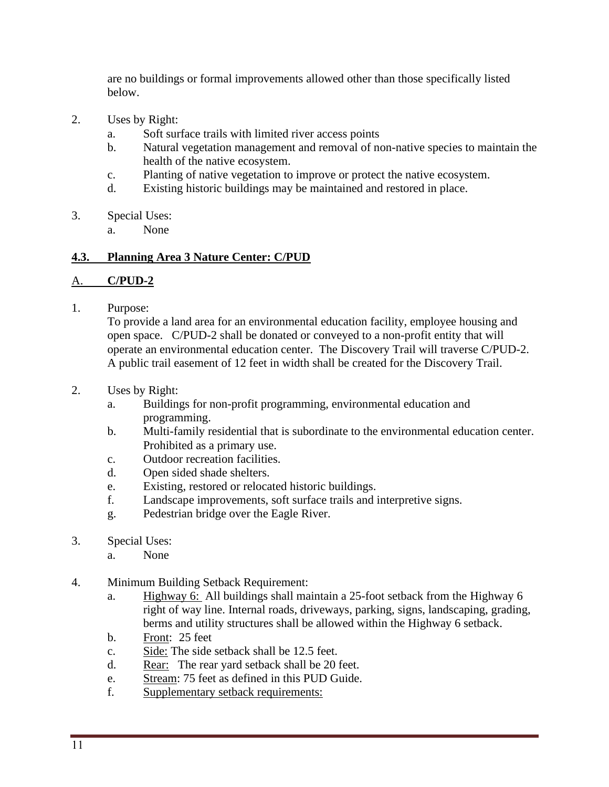are no buildings or formal improvements allowed other than those specifically listed below.

- 2. Uses by Right:
	- a. Soft surface trails with limited river access points
	- b. Natural vegetation management and removal of non-native species to maintain the health of the native ecosystem.
	- c. Planting of native vegetation to improve or protect the native ecosystem.
	- d. Existing historic buildings may be maintained and restored in place.
- 3. Special Uses:
	- a. None

## **4.3. Planning Area 3 Nature Center: C/PUD**

### A. **C/PUD-2**

1. Purpose:

To provide a land area for an environmental education facility, employee housing and open space. C/PUD-2 shall be donated or conveyed to a non-profit entity that will operate an environmental education center. The Discovery Trail will traverse C/PUD-2. A public trail easement of 12 feet in width shall be created for the Discovery Trail.

- 2. Uses by Right:
	- a. Buildings for non-profit programming, environmental education and programming.
	- b. Multi-family residential that is subordinate to the environmental education center. Prohibited as a primary use.
	- c. Outdoor recreation facilities.
	- d. Open sided shade shelters.
	- e. Existing, restored or relocated historic buildings.
	- f. Landscape improvements, soft surface trails and interpretive signs.
	- g. Pedestrian bridge over the Eagle River.
- 3. Special Uses:
	- a. None
- 4. Minimum Building Setback Requirement:
	- a. Highway 6: All buildings shall maintain a 25-foot setback from the Highway 6 right of way line. Internal roads, driveways, parking, signs, landscaping, grading, berms and utility structures shall be allowed within the Highway 6 setback.
	- b. Front: 25 feet
	- c. Side: The side setback shall be 12.5 feet.
	- d. Rear: The rear yard setback shall be 20 feet.
	- e. Stream: 75 feet as defined in this PUD Guide.
	- f. Supplementary setback requirements: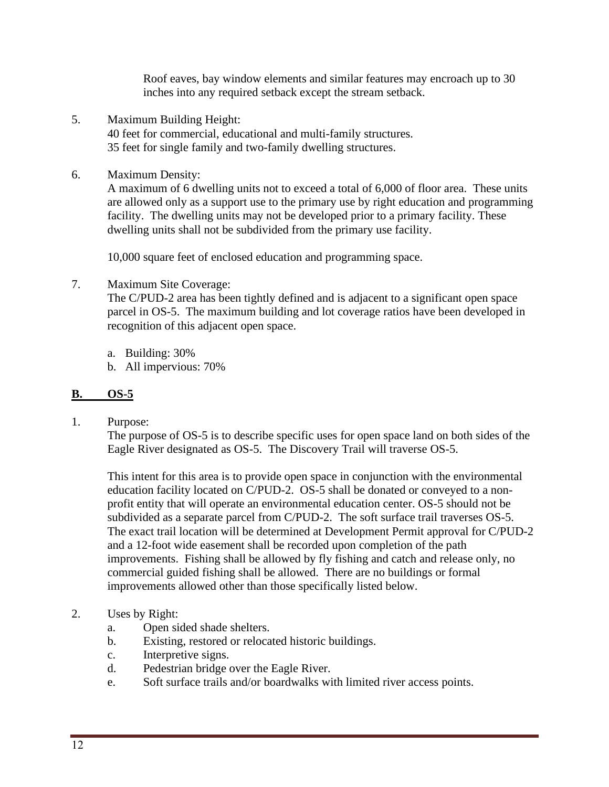Roof eaves, bay window elements and similar features may encroach up to 30 inches into any required setback except the stream setback.

- 5. Maximum Building Height: 40 feet for commercial, educational and multi-family structures. 35 feet for single family and two-family dwelling structures.
- 6. Maximum Density:

A maximum of 6 dwelling units not to exceed a total of 6,000 of floor area. These units are allowed only as a support use to the primary use by right education and programming facility. The dwelling units may not be developed prior to a primary facility. These dwelling units shall not be subdivided from the primary use facility.

10,000 square feet of enclosed education and programming space.

7. Maximum Site Coverage:

The C/PUD-2 area has been tightly defined and is adjacent to a significant open space parcel in OS-5. The maximum building and lot coverage ratios have been developed in recognition of this adjacent open space.

a. Building: 30%

b. All impervious: 70%

## **B. OS-5**

1. Purpose:

The purpose of OS-5 is to describe specific uses for open space land on both sides of the Eagle River designated as OS-5. The Discovery Trail will traverse OS-5.

This intent for this area is to provide open space in conjunction with the environmental education facility located on C/PUD-2. OS-5 shall be donated or conveyed to a nonprofit entity that will operate an environmental education center. OS-5 should not be subdivided as a separate parcel from C/PUD-2. The soft surface trail traverses OS-5. The exact trail location will be determined at Development Permit approval for C/PUD-2 and a 12-foot wide easement shall be recorded upon completion of the path improvements. Fishing shall be allowed by fly fishing and catch and release only, no commercial guided fishing shall be allowed. There are no buildings or formal improvements allowed other than those specifically listed below.

## 2. Uses by Right:

- a. Open sided shade shelters.
- b. Existing, restored or relocated historic buildings.
- c. Interpretive signs.
- d. Pedestrian bridge over the Eagle River.
- e. Soft surface trails and/or boardwalks with limited river access points.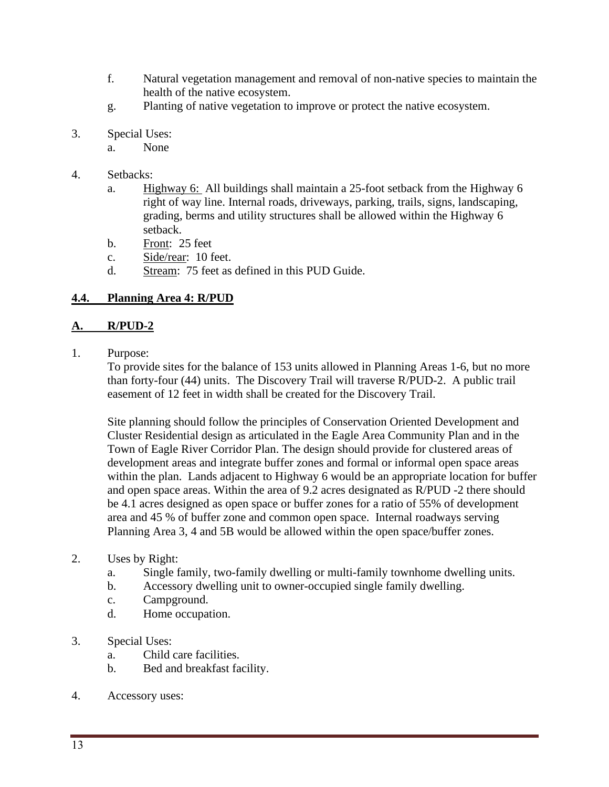- f. Natural vegetation management and removal of non-native species to maintain the health of the native ecosystem.
- g. Planting of native vegetation to improve or protect the native ecosystem.
- 3. Special Uses:
	- a. None
- 4. Setbacks:
	- a. Highway 6: All buildings shall maintain a 25-foot setback from the Highway 6 right of way line. Internal roads, driveways, parking, trails, signs, landscaping, grading, berms and utility structures shall be allowed within the Highway 6 setback.
	- b. Front: 25 feet
	- c. Side/rear: 10 feet.
	- d. Stream: 75 feet as defined in this PUD Guide.

## **4.4. Planning Area 4: R/PUD**

### **A. R/PUD-2**

1. Purpose:

To provide sites for the balance of 153 units allowed in Planning Areas 1-6, but no more than forty-four (44) units. The Discovery Trail will traverse R/PUD-2. A public trail easement of 12 feet in width shall be created for the Discovery Trail.

Site planning should follow the principles of Conservation Oriented Development and Cluster Residential design as articulated in the Eagle Area Community Plan and in the Town of Eagle River Corridor Plan. The design should provide for clustered areas of development areas and integrate buffer zones and formal or informal open space areas within the plan. Lands adjacent to Highway 6 would be an appropriate location for buffer and open space areas. Within the area of 9.2 acres designated as R/PUD -2 there should be 4.1 acres designed as open space or buffer zones for a ratio of 55% of development area and 45 % of buffer zone and common open space. Internal roadways serving Planning Area 3, 4 and 5B would be allowed within the open space/buffer zones.

### 2. Uses by Right:

- a. Single family, two-family dwelling or multi-family townhome dwelling units.
- b. Accessory dwelling unit to owner-occupied single family dwelling.
- c. Campground.
- d. Home occupation.

### 3. Special Uses:

- a. Child care facilities.
- b. Bed and breakfast facility.
- 4. Accessory uses: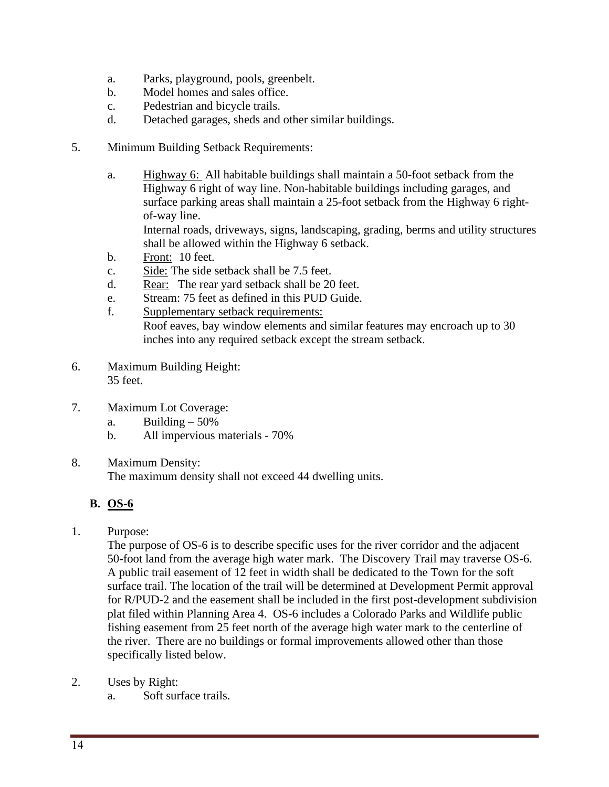- a. Parks, playground, pools, greenbelt.
- b. Model homes and sales office.
- c. Pedestrian and bicycle trails.
- d. Detached garages, sheds and other similar buildings.
- 5. Minimum Building Setback Requirements:
	- a. Highway 6: All habitable buildings shall maintain a 50-foot setback from the Highway 6 right of way line. Non-habitable buildings including garages, and surface parking areas shall maintain a 25-foot setback from the Highway 6 rightof-way line. Internal roads, driveways, signs, landscaping, grading, berms and utility structures shall be allowed within the Highway 6 setback.
	- b. Front: 10 feet.
	- c. Side: The side setback shall be 7.5 feet.
	- d. Rear: The rear yard setback shall be 20 feet.
	- e. Stream: 75 feet as defined in this PUD Guide.
	- f. Supplementary setback requirements:

Roof eaves, bay window elements and similar features may encroach up to 30 inches into any required setback except the stream setback.

- 6. Maximum Building Height: 35 feet.
- 7. Maximum Lot Coverage:
	- a. Building  $-50\%$
	- b. All impervious materials 70%
- 8. Maximum Density:

The maximum density shall not exceed 44 dwelling units.

## **B. OS-6**

1. Purpose:

The purpose of OS-6 is to describe specific uses for the river corridor and the adjacent 50-foot land from the average high water mark. The Discovery Trail may traverse OS-6. A public trail easement of 12 feet in width shall be dedicated to the Town for the soft surface trail. The location of the trail will be determined at Development Permit approval for R/PUD-2 and the easement shall be included in the first post-development subdivision plat filed within Planning Area 4. OS-6 includes a Colorado Parks and Wildlife public fishing easement from 25 feet north of the average high water mark to the centerline of the river. There are no buildings or formal improvements allowed other than those specifically listed below.

- 2. Uses by Right:
	- a. Soft surface trails.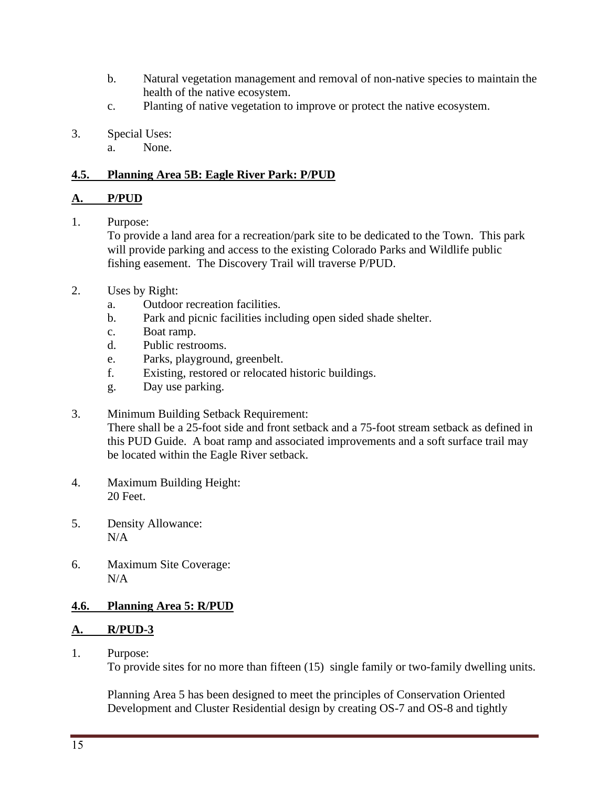- b. Natural vegetation management and removal of non-native species to maintain the health of the native ecosystem.
- c. Planting of native vegetation to improve or protect the native ecosystem.
- 3. Special Uses:
	- a. None.

### **4.5. Planning Area 5B: Eagle River Park: P/PUD**

### **A. P/PUD**

1. Purpose:

To provide a land area for a recreation/park site to be dedicated to the Town. This park will provide parking and access to the existing Colorado Parks and Wildlife public fishing easement. The Discovery Trail will traverse P/PUD.

- 2. Uses by Right:
	- a. Outdoor recreation facilities.
	- b. Park and picnic facilities including open sided shade shelter.
	- c. Boat ramp.
	- d. Public restrooms.
	- e. Parks, playground, greenbelt.
	- f. Existing, restored or relocated historic buildings.
	- g. Day use parking.
- 3. Minimum Building Setback Requirement: There shall be a 25-foot side and front setback and a 75-foot stream setback as defined in this PUD Guide. A boat ramp and associated improvements and a soft surface trail may be located within the Eagle River setback.
- 4. Maximum Building Height: 20 Feet.
- 5. Density Allowance: N/A
- 6. Maximum Site Coverage: N/A

## **4.6. Planning Area 5: R/PUD**

## **A. R/PUD-3**

1. Purpose:

To provide sites for no more than fifteen (15) single family or two-family dwelling units.

Planning Area 5 has been designed to meet the principles of Conservation Oriented Development and Cluster Residential design by creating OS-7 and OS-8 and tightly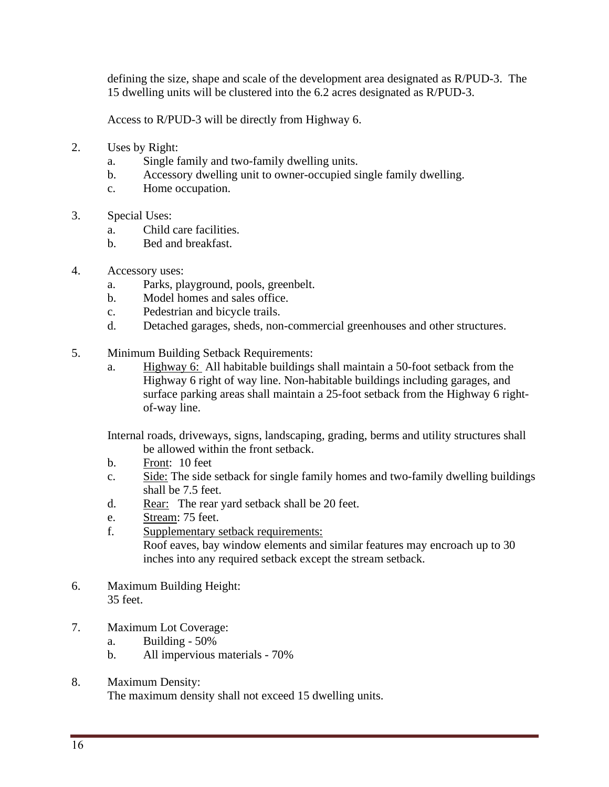defining the size, shape and scale of the development area designated as R/PUD-3. The 15 dwelling units will be clustered into the 6.2 acres designated as R/PUD-3.

Access to R/PUD-3 will be directly from Highway 6.

- 2. Uses by Right:
	- a. Single family and two-family dwelling units.
	- b. Accessory dwelling unit to owner-occupied single family dwelling.
	- c. Home occupation.
- 3. Special Uses:
	- a. Child care facilities.
	- b. Bed and breakfast.
- 4. Accessory uses:
	- a. Parks, playground, pools, greenbelt.
	- b. Model homes and sales office.
	- c. Pedestrian and bicycle trails.
	- d. Detached garages, sheds, non-commercial greenhouses and other structures.
- 5. Minimum Building Setback Requirements:
	- a. Highway 6: All habitable buildings shall maintain a 50-foot setback from the Highway 6 right of way line. Non-habitable buildings including garages, and surface parking areas shall maintain a 25-foot setback from the Highway 6 rightof-way line.

Internal roads, driveways, signs, landscaping, grading, berms and utility structures shall be allowed within the front setback.

- b. Front: 10 feet
- c. Side: The side setback for single family homes and two-family dwelling buildings shall be 7.5 feet.
- d. Rear: The rear yard setback shall be 20 feet.
- e. Stream: 75 feet.
- f. Supplementary setback requirements:

Roof eaves, bay window elements and similar features may encroach up to 30 inches into any required setback except the stream setback.

- 6. Maximum Building Height: 35 feet.
- 7. Maximum Lot Coverage:
	- a. Building 50%
	- b. All impervious materials 70%
- 8. Maximum Density: The maximum density shall not exceed 15 dwelling units.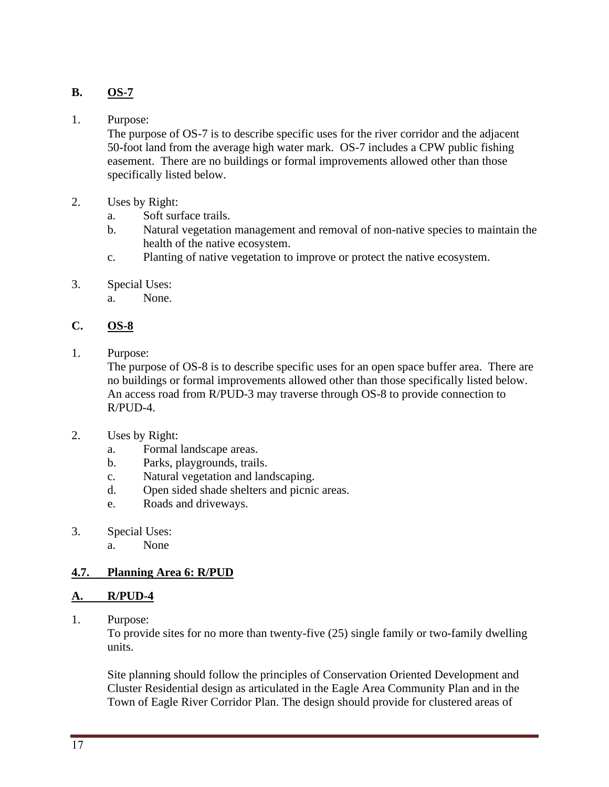## **B. OS-7**

### 1. Purpose:

The purpose of OS-7 is to describe specific uses for the river corridor and the adjacent 50-foot land from the average high water mark. OS-7 includes a CPW public fishing easement. There are no buildings or formal improvements allowed other than those specifically listed below.

- 2. Uses by Right:
	- a. Soft surface trails.
	- b. Natural vegetation management and removal of non-native species to maintain the health of the native ecosystem.
	- c. Planting of native vegetation to improve or protect the native ecosystem.
- 3. Special Uses:
	- a. None.

## **C. OS-8**

1. Purpose:

The purpose of OS-8 is to describe specific uses for an open space buffer area. There are no buildings or formal improvements allowed other than those specifically listed below. An access road from R/PUD-3 may traverse through OS-8 to provide connection to R/PUD-4.

- 2. Uses by Right:
	- a. Formal landscape areas.
	- b. Parks, playgrounds, trails.
	- c. Natural vegetation and landscaping.
	- d. Open sided shade shelters and picnic areas.
	- e. Roads and driveways.
- 3. Special Uses:
	- a. None

## **4.7. Planning Area 6: R/PUD**

## **A. R/PUD-4**

1. Purpose:

To provide sites for no more than twenty-five (25) single family or two-family dwelling units.

Site planning should follow the principles of Conservation Oriented Development and Cluster Residential design as articulated in the Eagle Area Community Plan and in the Town of Eagle River Corridor Plan. The design should provide for clustered areas of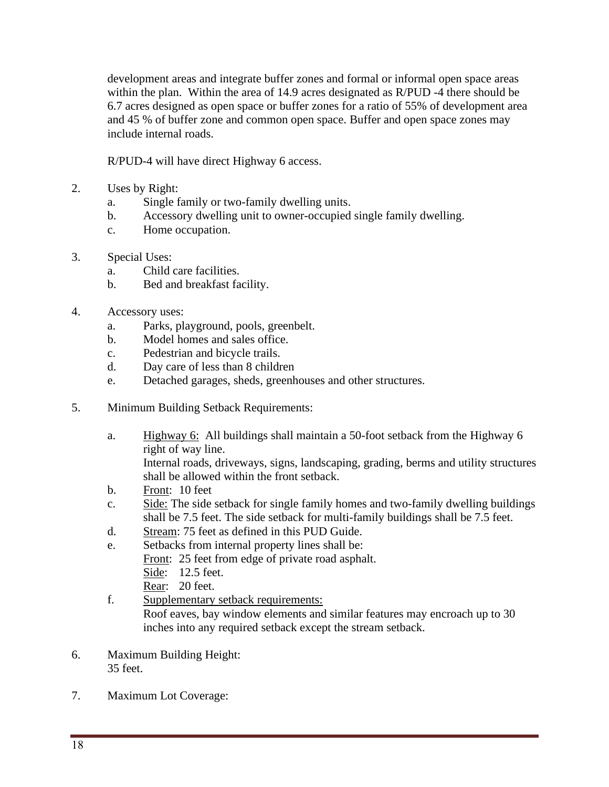development areas and integrate buffer zones and formal or informal open space areas within the plan. Within the area of 14.9 acres designated as R/PUD -4 there should be 6.7 acres designed as open space or buffer zones for a ratio of 55% of development area and 45 % of buffer zone and common open space. Buffer and open space zones may include internal roads.

R/PUD-4 will have direct Highway 6 access.

- 2. Uses by Right:
	- a. Single family or two-family dwelling units.
	- b. Accessory dwelling unit to owner-occupied single family dwelling.
	- c. Home occupation.
- 3. Special Uses:
	- a. Child care facilities.
	- b. Bed and breakfast facility.
- 4. Accessory uses:
	- a. Parks, playground, pools, greenbelt.
	- b. Model homes and sales office.
	- c. Pedestrian and bicycle trails.
	- d. Day care of less than 8 children
	- e. Detached garages, sheds, greenhouses and other structures.
- 5. Minimum Building Setback Requirements:
	- a. Highway 6: All buildings shall maintain a 50-foot setback from the Highway 6 right of way line. Internal roads, driveways, signs, landscaping, grading, berms and utility structures
		- shall be allowed within the front setback.
	- b. Front: 10 feet
	- c. Side: The side setback for single family homes and two-family dwelling buildings shall be 7.5 feet. The side setback for multi-family buildings shall be 7.5 feet.
	- d. Stream: 75 feet as defined in this PUD Guide.
	- e. Setbacks from internal property lines shall be: Front: 25 feet from edge of private road asphalt. Side: 12.5 feet.
		- Rear: 20 feet.
	- f. Supplementary setback requirements: Roof eaves, bay window elements and similar features may encroach up to 30 inches into any required setback except the stream setback.
- 6. Maximum Building Height: 35 feet.
- 7. Maximum Lot Coverage: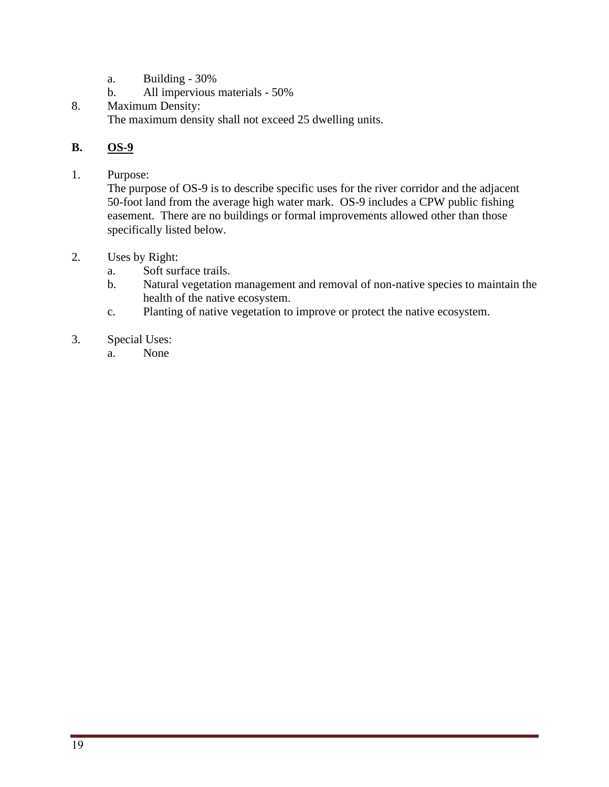- a. Building 30%
- b. All impervious materials 50%
- 8. Maximum Density: The maximum density shall not exceed 25 dwelling units.

## **B. OS-9**

1. Purpose:

The purpose of OS-9 is to describe specific uses for the river corridor and the adjacent 50-foot land from the average high water mark. OS-9 includes a CPW public fishing easement. There are no buildings or formal improvements allowed other than those specifically listed below.

- 2. Uses by Right:
	- a. Soft surface trails.
	- b. Natural vegetation management and removal of non-native species to maintain the health of the native ecosystem.
	- c. Planting of native vegetation to improve or protect the native ecosystem.
- 3. Special Uses:
	- a. None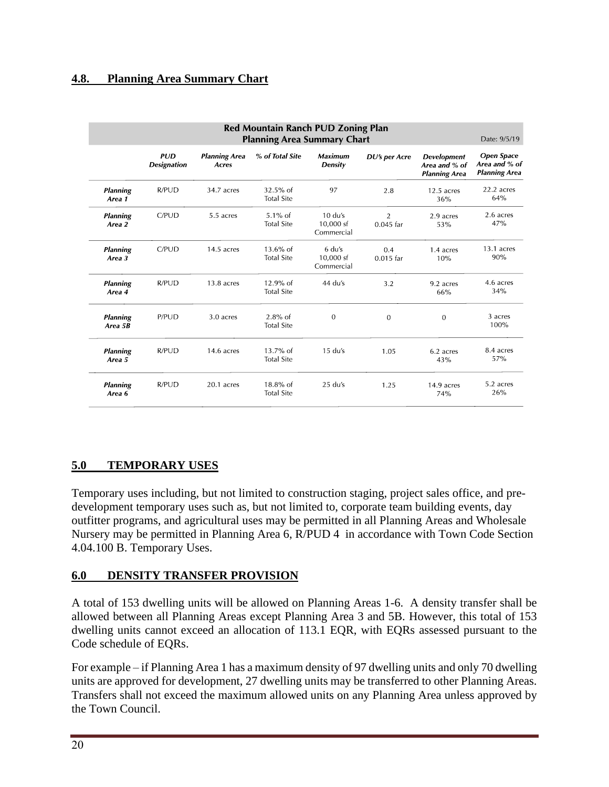### **4.8. Planning Area Summary Chart**

|                            | Red Mountain Ranch PUD Zoning Plan<br><b>Planning Area Summary Chart</b><br>Date: 9/5/19 |                               |                                  |                                          |                               |                                                             |                                                            |  |
|----------------------------|------------------------------------------------------------------------------------------|-------------------------------|----------------------------------|------------------------------------------|-------------------------------|-------------------------------------------------------------|------------------------------------------------------------|--|
|                            | PID<br><b>Designation</b>                                                                | <b>Planning Area</b><br>Acres | % of Total Site                  | <b>Maximum</b><br><b>Density</b>         | DU's per Acre                 | <b>Development</b><br>Area and % of<br><b>Planning Area</b> | <b>Open Space</b><br>Area and % of<br><b>Planning Area</b> |  |
| <b>Planning</b><br>Area 1  | R/PUD                                                                                    | 34.7 acres                    | $32.5\%$ of<br><b>Total Site</b> | 97                                       | 2.8                           | $12.5$ acres<br>36%                                         | 22.2 acres<br>64%                                          |  |
| <b>Planning</b><br>Area 2  | C/PUD                                                                                    | 5.5 acres                     | $5.1\%$ of<br><b>Total Site</b>  | $10 \, du's$<br>10.000 sf<br>Commercial  | $\overline{2}$<br>$0.045$ far | 2.9 acres<br>53%                                            | 2.6 acres<br>47%                                           |  |
| <b>Planning</b><br>Area 3  | C/PUD                                                                                    | $14.5$ acres                  | $13.6\%$ of<br><b>Total Site</b> | $6 \, du's$<br>$10,000$ sf<br>Commercial | 0.4<br>$0.015$ far            | 1.4 acres<br>10%                                            | 13.1 acres<br>90%                                          |  |
| <b>Planning</b><br>Area 4  | R/PUD                                                                                    | $13.8$ acres                  | $12.9%$ of<br><b>Total Site</b>  | $44$ du's                                | 3.2                           | 9.2 acres<br>66%                                            | 4.6 acres<br>34%                                           |  |
| <b>Planning</b><br>Area 5B | P/PUD                                                                                    | 3.0 acres                     | $2.8%$ of<br><b>Total Site</b>   | $\mathbf{0}$                             | $\overline{0}$                | $\Omega$                                                    | 3 acres<br>100%                                            |  |
| <b>Planning</b><br>Area 5  | R/PUD                                                                                    | 14.6 acres                    | $13.7\%$ of<br><b>Total Site</b> | $15 \, du's$                             | 1.05                          | 6.2 acres<br>43%                                            | 8.4 acres<br>57%                                           |  |
| <b>Planning</b><br>Area 6  | R/PUD                                                                                    | 20.1 acres                    | $18.8\%$ of<br><b>Total Site</b> | $25$ du's                                | 1.25                          | 14.9 acres<br>74%                                           | 5.2 acres<br>26%                                           |  |

## **5.0 TEMPORARY USES**

Temporary uses including, but not limited to construction staging, project sales office, and predevelopment temporary uses such as, but not limited to, corporate team building events, day outfitter programs, and agricultural uses may be permitted in all Planning Areas and Wholesale Nursery may be permitted in Planning Area 6, R/PUD 4 in accordance with Town Code Section 4.04.100 B. Temporary Uses.

### **6.0 DENSITY TRANSFER PROVISION**

A total of 153 dwelling units will be allowed on Planning Areas 1-6. A density transfer shall be allowed between all Planning Areas except Planning Area 3 and 5B. However, this total of 153 dwelling units cannot exceed an allocation of 113.1 EQR, with EQRs assessed pursuant to the Code schedule of EQRs.

For example – if Planning Area 1 has a maximum density of 97 dwelling units and only 70 dwelling units are approved for development, 27 dwelling units may be transferred to other Planning Areas. Transfers shall not exceed the maximum allowed units on any Planning Area unless approved by the Town Council.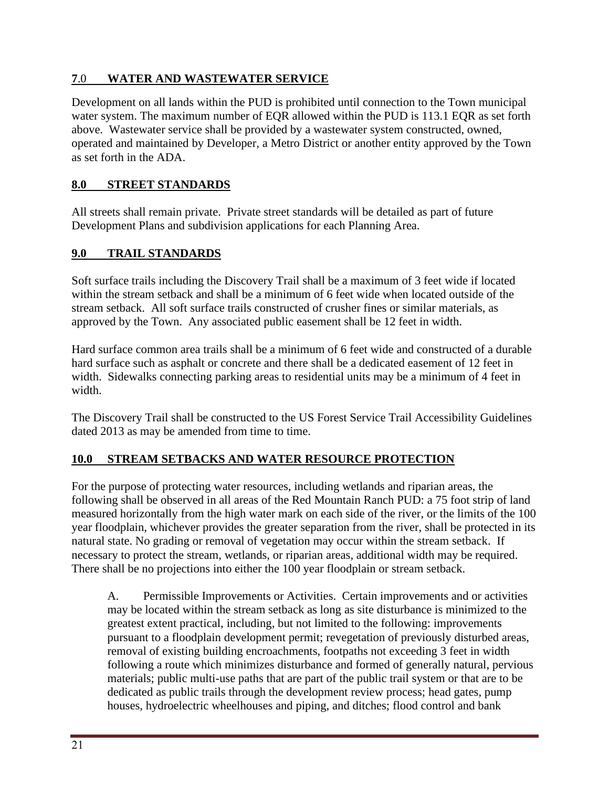## **7**.0 **WATER AND WASTEWATER SERVICE**

Development on all lands within the PUD is prohibited until connection to the Town municipal water system. The maximum number of EQR allowed within the PUD is 113.1 EQR as set forth above. Wastewater service shall be provided by a wastewater system constructed, owned, operated and maintained by Developer, a Metro District or another entity approved by the Town as set forth in the ADA.

### **8.0 STREET STANDARDS**

All streets shall remain private. Private street standards will be detailed as part of future Development Plans and subdivision applications for each Planning Area.

### **9.0 TRAIL STANDARDS**

Soft surface trails including the Discovery Trail shall be a maximum of 3 feet wide if located within the stream setback and shall be a minimum of 6 feet wide when located outside of the stream setback. All soft surface trails constructed of crusher fines or similar materials, as approved by the Town. Any associated public easement shall be 12 feet in width.

Hard surface common area trails shall be a minimum of 6 feet wide and constructed of a durable hard surface such as asphalt or concrete and there shall be a dedicated easement of 12 feet in width. Sidewalks connecting parking areas to residential units may be a minimum of 4 feet in width.

The Discovery Trail shall be constructed to the US Forest Service Trail Accessibility Guidelines dated 2013 as may be amended from time to time.

## **10.0 STREAM SETBACKS AND WATER RESOURCE PROTECTION**

For the purpose of protecting water resources, including wetlands and riparian areas, the following shall be observed in all areas of the Red Mountain Ranch PUD: a 75 foot strip of land measured horizontally from the high water mark on each side of the river, or the limits of the 100 year floodplain, whichever provides the greater separation from the river, shall be protected in its natural state. No grading or removal of vegetation may occur within the stream setback. If necessary to protect the stream, wetlands, or riparian areas, additional width may be required. There shall be no projections into either the 100 year floodplain or stream setback.

A. Permissible Improvements or Activities. Certain improvements and or activities may be located within the stream setback as long as site disturbance is minimized to the greatest extent practical, including, but not limited to the following: improvements pursuant to a floodplain development permit; revegetation of previously disturbed areas, removal of existing building encroachments, footpaths not exceeding 3 feet in width following a route which minimizes disturbance and formed of generally natural, pervious materials; public multi-use paths that are part of the public trail system or that are to be dedicated as public trails through the development review process; head gates, pump houses, hydroelectric wheelhouses and piping, and ditches; flood control and bank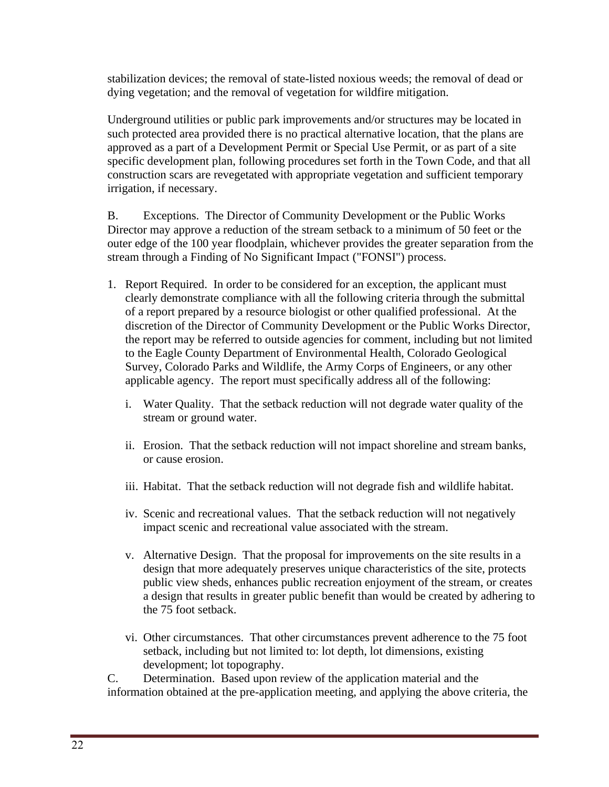stabilization devices; the removal of state-listed noxious weeds; the removal of dead or dying vegetation; and the removal of vegetation for wildfire mitigation.

Underground utilities or public park improvements and/or structures may be located in such protected area provided there is no practical alternative location, that the plans are approved as a part of a Development Permit or Special Use Permit, or as part of a site specific development plan, following procedures set forth in the Town Code, and that all construction scars are revegetated with appropriate vegetation and sufficient temporary irrigation, if necessary.

B. Exceptions. The Director of Community Development or the Public Works Director may approve a reduction of the stream setback to a minimum of 50 feet or the outer edge of the 100 year floodplain, whichever provides the greater separation from the stream through a Finding of No Significant Impact ("FONSI") process.

- 1. Report Required. In order to be considered for an exception, the applicant must clearly demonstrate compliance with all the following criteria through the submittal of a report prepared by a resource biologist or other qualified professional. At the discretion of the Director of Community Development or the Public Works Director, the report may be referred to outside agencies for comment, including but not limited to the Eagle County Department of Environmental Health, Colorado Geological Survey, Colorado Parks and Wildlife, the Army Corps of Engineers, or any other applicable agency. The report must specifically address all of the following:
	- i. Water Quality. That the setback reduction will not degrade water quality of the stream or ground water.
	- ii. Erosion. That the setback reduction will not impact shoreline and stream banks, or cause erosion.
	- iii. Habitat. That the setback reduction will not degrade fish and wildlife habitat.
	- iv. Scenic and recreational values. That the setback reduction will not negatively impact scenic and recreational value associated with the stream.
	- v. Alternative Design. That the proposal for improvements on the site results in a design that more adequately preserves unique characteristics of the site, protects public view sheds, enhances public recreation enjoyment of the stream, or creates a design that results in greater public benefit than would be created by adhering to the 75 foot setback.
	- vi. Other circumstances. That other circumstances prevent adherence to the 75 foot setback, including but not limited to: lot depth, lot dimensions, existing development; lot topography.

C. Determination. Based upon review of the application material and the information obtained at the pre-application meeting, and applying the above criteria, the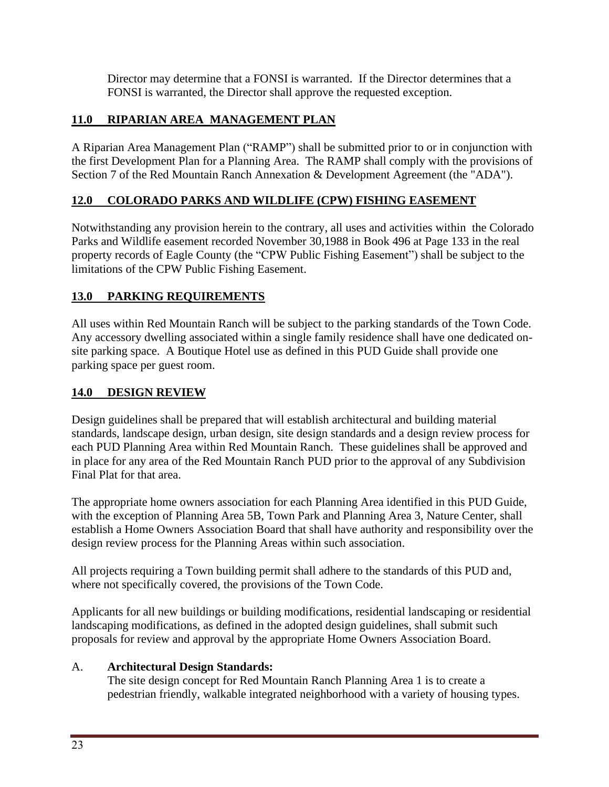Director may determine that a FONSI is warranted. If the Director determines that a FONSI is warranted, the Director shall approve the requested exception.

## **11.0 RIPARIAN AREA MANAGEMENT PLAN**

A Riparian Area Management Plan ("RAMP") shall be submitted prior to or in conjunction with the first Development Plan for a Planning Area. The RAMP shall comply with the provisions of Section 7 of the Red Mountain Ranch Annexation & Development Agreement (the "ADA").

## **12.0 COLORADO PARKS AND WILDLIFE (CPW) FISHING EASEMENT**

Notwithstanding any provision herein to the contrary, all uses and activities within the Colorado Parks and Wildlife easement recorded November 30,1988 in Book 496 at Page 133 in the real property records of Eagle County (the "CPW Public Fishing Easement") shall be subject to the limitations of the CPW Public Fishing Easement.

## **13.0 PARKING REQUIREMENTS**

All uses within Red Mountain Ranch will be subject to the parking standards of the Town Code. Any accessory dwelling associated within a single family residence shall have one dedicated onsite parking space. A Boutique Hotel use as defined in this PUD Guide shall provide one parking space per guest room.

## **14.0 DESIGN REVIEW**

Design guidelines shall be prepared that will establish architectural and building material standards, landscape design, urban design, site design standards and a design review process for each PUD Planning Area within Red Mountain Ranch. These guidelines shall be approved and in place for any area of the Red Mountain Ranch PUD prior to the approval of any Subdivision Final Plat for that area.

The appropriate home owners association for each Planning Area identified in this PUD Guide, with the exception of Planning Area 5B, Town Park and Planning Area 3, Nature Center, shall establish a Home Owners Association Board that shall have authority and responsibility over the design review process for the Planning Areas within such association.

All projects requiring a Town building permit shall adhere to the standards of this PUD and, where not specifically covered, the provisions of the Town Code.

Applicants for all new buildings or building modifications, residential landscaping or residential landscaping modifications, as defined in the adopted design guidelines, shall submit such proposals for review and approval by the appropriate Home Owners Association Board.

## A. **Architectural Design Standards:**

The site design concept for Red Mountain Ranch Planning Area 1 is to create a pedestrian friendly, walkable integrated neighborhood with a variety of housing types.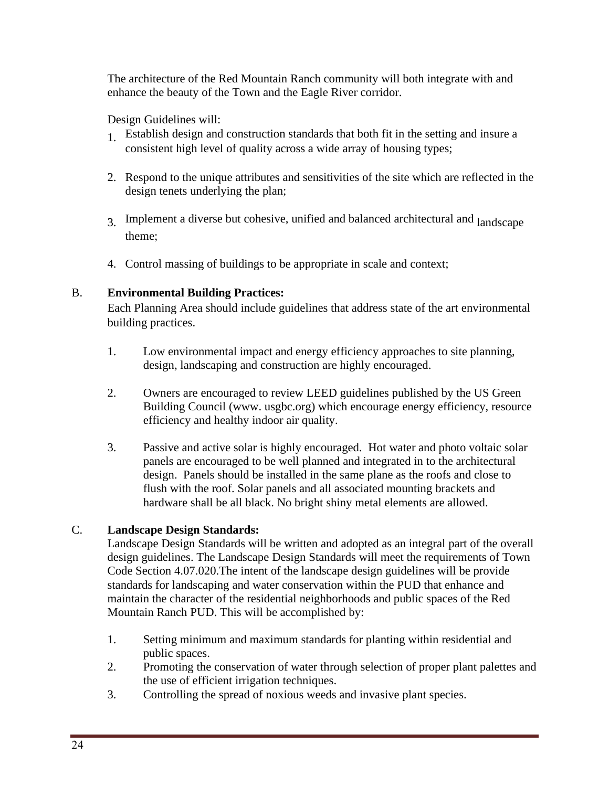The architecture of the Red Mountain Ranch community will both integrate with and enhance the beauty of the Town and the Eagle River corridor.

Design Guidelines will:

- 1. Establish design and construction standards that both fit in the setting and insure a consistent high level of quality across a wide array of housing types;
- 2. Respond to the unique attributes and sensitivities of the site which are reflected in the design tenets underlying the plan;
- <sup>3</sup> Implement a diverse but cohesive, unified and balanced architectural and landscape theme;
- 4. Control massing of buildings to be appropriate in scale and context;

## B. **Environmental Building Practices:**

Each Planning Area should include guidelines that address state of the art environmental building practices.

- 1. Low environmental impact and energy efficiency approaches to site planning, design, landscaping and construction are highly encouraged.
- 2. Owners are encouraged to review LEED guidelines published by the US [Green](http://www/) [Building](http://www/) Council (w[ww.](http://www/) usgbc.org) which encourage energy efficiency, resource efficiency and healthy indoor air quality.
- 3. Passive and active solar is highly encouraged. Hot water and photo voltaic solar panels are encouraged to be well planned and integrated in to the architectural design. Panels should be installed in the same plane as the roofs and close to flush with the roof. Solar panels and all associated mounting brackets and hardware shall be all black. No bright shiny metal elements are allowed.

## C. **Landscape Design Standards:**

Landscape Design Standards will be written and adopted as an integral part of the overall design guidelines. The Landscape Design Standards will meet the requirements of Town Code Section 4.07.020.The intent of the landscape design guidelines will be provide standards for landscaping and water conservation within the PUD that enhance and maintain the character of the residential neighborhoods and public spaces of the Red Mountain Ranch PUD. This will be accomplished by:

- 1. Setting minimum and maximum standards for planting within residential and public spaces.
- 2. Promoting the conservation of water through selection of proper plant palettes and the use of efficient irrigation techniques.
- 3. Controlling the spread of noxious weeds and invasive plant species.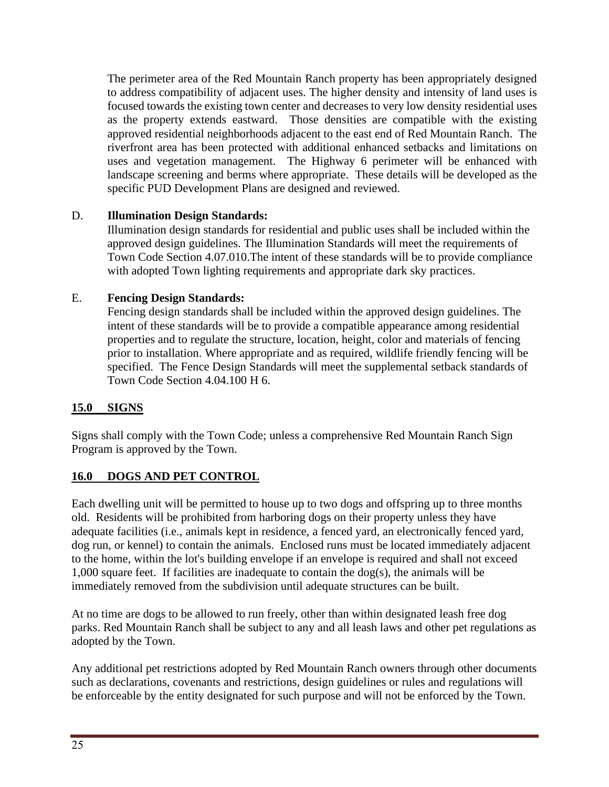The perimeter area of the Red Mountain Ranch property has been appropriately designed to address compatibility of adjacent uses. The higher density and intensity of land uses is focused towards the existing town center and decreases to very low density residential uses as the property extends eastward. Those densities are compatible with the existing approved residential neighborhoods adjacent to the east end of Red Mountain Ranch. The riverfront area has been protected with additional enhanced setbacks and limitations on uses and vegetation management. The Highway 6 perimeter will be enhanced with landscape screening and berms where appropriate. These details will be developed as the specific PUD Development Plans are designed and reviewed.

## D. **Illumination Design Standards:**

Illumination design standards for residential and public uses shall be included within the approved design guidelines. The Illumination Standards will meet the requirements of Town Code Section 4.07.010.The intent of these standards will be to provide compliance with adopted Town lighting requirements and appropriate dark sky practices.

## E. **Fencing Design Standards:**

Fencing design standards shall be included within the approved design guidelines. The intent of these standards will be to provide a compatible appearance among residential properties and to regulate the structure, location, height, color and materials of fencing prior to installation. Where appropriate and as required, wildlife friendly fencing will be specified. The Fence Design Standards will meet the supplemental setback standards of Town Code Section 4.04.100 H 6.

## **15.0 SIGNS**

Signs shall comply with the Town Code; unless a comprehensive Red Mountain Ranch Sign Program is approved by the Town.

## **16.0 DOGS AND PET CONTROL**

Each dwelling unit will be permitted to house up to two dogs and offspring up to three months old. Residents will be prohibited from harboring dogs on their property unless they have adequate facilities (i.e., animals kept in residence, a fenced yard, an electronically fenced yard, dog run, or kennel) to contain the animals. Enclosed runs must be located immediately adjacent to the home, within the lot's building envelope if an envelope is required and shall not exceed 1,000 square feet. If facilities are inadequate to contain the dog(s), the animals will be immediately removed from the subdivision until adequate structures can be built.

At no time are dogs to be allowed to run freely, other than within designated leash free dog parks. Red Mountain Ranch shall be subject to any and all leash laws and other pet regulations as adopted by the Town.

Any additional pet restrictions adopted by Red Mountain Ranch owners through other documents such as declarations, covenants and restrictions, design guidelines or rules and regulations will be enforceable by the entity designated for such purpose and will not be enforced by the Town.